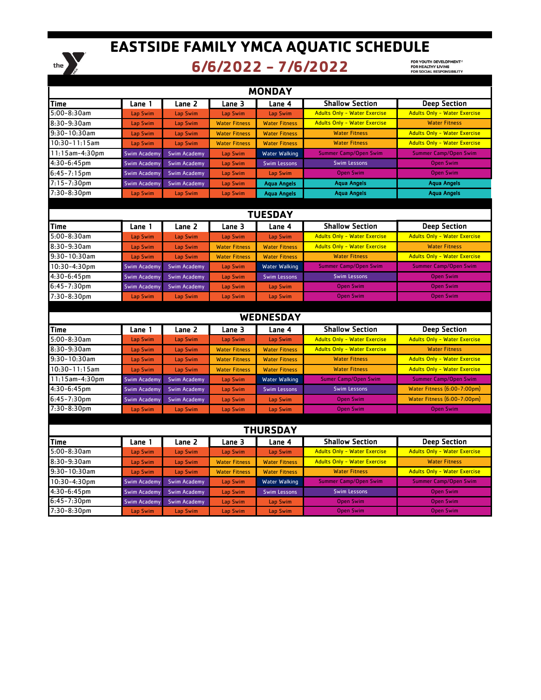

## **EASTSIDE FAMILY YMCA AQUATIC SCHEDULE**

## **6/6/2022 - 7/6/2022**

FOR YOUTH DEVELOPMENT ®<br>FOR HEALTHY LIVING<br>FOR SOCIAL RESPONSIBILITY

| <b>MONDAY</b>      |                     |                     |                      |                      |                                     |                                     |  |  |  |  |
|--------------------|---------------------|---------------------|----------------------|----------------------|-------------------------------------|-------------------------------------|--|--|--|--|
| <b>Time</b>        | Lane 1              | Lane 2              | Lane 3               | Lane 4               | <b>Shallow Section</b>              | <b>Deep Section</b>                 |  |  |  |  |
| 5:00-8:30am        | Lap Swim            | Lap Swim            | Lap Swim             | Lap Swim             | <b>Adults Only - Water Exercise</b> | <b>Adults Only - Water Exercise</b> |  |  |  |  |
| 8:30-9:30am        | Lap Swim            | Lap Swim            | <b>Water Fitness</b> | <b>Water Fitness</b> | <b>Adults Only - Water Exercise</b> | <b>Water Fitness</b>                |  |  |  |  |
| $9:30 - 10:30$ am  | Lap Swim            | Lap Swim            | <b>Water Fitness</b> | <b>Water Fitness</b> | <b>Water Fitness</b>                | <b>Adults Only - Water Exercise</b> |  |  |  |  |
| $10:30 - 11:15$ am | Lap Swim            | Lap Swim            | <b>Water Fitness</b> | <b>Water Fitness</b> | <b>Water Fitness</b>                | <b>Adults Only - Water Exercise</b> |  |  |  |  |
| 11:15am-4:30pm     | <b>Swim Academy</b> | <b>Swim Academy</b> | Lap Swim             | Water Walking        | <b>Summer Camp/Open Swim</b>        | <b>Summer Camp/Open Swim</b>        |  |  |  |  |
| $4:30-6:45$ pm     | <b>Swim Academy</b> | <b>Swim Academy</b> | Lap Swim             | <b>Swim Lessons</b>  | <b>Swim Lessons</b>                 | <b>Open Swim</b>                    |  |  |  |  |
| 6:45-7:15pm        | <b>Swim Academy</b> | <b>Swim Academy</b> | Lap Swim             | Lap Swim             | <b>Open Swim</b>                    | <b>Open Swim</b>                    |  |  |  |  |
| 7:15-7:30pm        | <b>Swim Academy</b> | <b>Swim Academy</b> | Lap Swim             | <b>Aqua Angels</b>   | <b>Aqua Angels</b>                  | <b>Aqua Angels</b>                  |  |  |  |  |
| 7:30-8:30pm        | Lap Swim            | Lap Swim            | Lap Swim             | <b>Aqua Angels</b>   | <b>Agua Angels</b>                  | <b>Aqua Angels</b>                  |  |  |  |  |
|                    |                     |                     |                      |                      |                                     |                                     |  |  |  |  |
| <b>TUESDAY</b>     |                     |                     |                      |                      |                                     |                                     |  |  |  |  |
| <b>Time</b>        | Lane 1              | Lane 2              | Lane 3               | Lane 4               | <b>Shallow Section</b>              | <b>Deep Section</b>                 |  |  |  |  |
| $5:00 - 8:30$ am   | Lap Swim            | Lap Swim            | Lap Swim             | Lap Swim             | <b>Adults Only - Water Exercise</b> | <b>Adults Only - Water Exercise</b> |  |  |  |  |
| 8:30-9:30am        | Lap Swim            | Lap Swim            | <b>Water Fitness</b> | <b>Water Fitness</b> | <b>Adults Only - Water Exercise</b> | <b>Water Fitness</b>                |  |  |  |  |
| 9:30-10:30am       | Lap Swim            | Lap Swim            | <b>Water Fitness</b> | <b>Water Fitness</b> | <b>Water Fitness</b>                | <b>Adults Only - Water Exercise</b> |  |  |  |  |
| 10:30-4:30pm       | <b>Swim Academy</b> | <b>Swim Academy</b> | Lap Swim             | Water Walking        | <b>Summer Camp/Open Swim</b>        | <b>Summer Camp/Open Swim</b>        |  |  |  |  |
| 4:30-6:45pm        | <b>Swim Academy</b> | <b>Swim Academy</b> | Lap Swim             | <b>Swim Lessons</b>  | <b>Swim Lessons</b>                 | <b>Open Swim</b>                    |  |  |  |  |
| $6:45 - 7:30$ pm   | <b>Swim Academy</b> | <b>Swim Academy</b> | Lap Swim             | Lap Swim             | <b>Open Swim</b>                    | <b>Open Swim</b>                    |  |  |  |  |
| 7:30-8:30pm        | Lap Swim            | Lap Swim            | Lap Swim             | Lap Swim             | <b>Open Swim</b>                    | <b>Open Swim</b>                    |  |  |  |  |
|                    |                     |                     |                      |                      |                                     |                                     |  |  |  |  |
|                    | <b>WEDNESDAY</b>    |                     |                      |                      |                                     |                                     |  |  |  |  |
| <b>Time</b>        | Lane 1              | Lane 2              | Lane 3               | Lane 4               | <b>Shallow Section</b>              | <b>Deep Section</b>                 |  |  |  |  |
| 5:00-8:30am        | Lap Swim            | Lap Swim            | Lap Swim             | Lap Swim             | <b>Adults Only - Water Exercise</b> | <b>Adults Only - Water Exercise</b> |  |  |  |  |
| 8:30-9:30am        | Lap Swim            | Lap Swim            | <b>Water Fitness</b> | <b>Water Fitness</b> | <b>Adults Only - Water Exercise</b> | <b>Water Fitness</b>                |  |  |  |  |
| $9:30 - 10:30$ am  | Lap Swim            | Lap Swim            | <b>Water Fitness</b> | <b>Water Fitness</b> | <b>Water Fitness</b>                | <b>Adults Only - Water Exercise</b> |  |  |  |  |
| $10:30 - 11:15$ am | Lap Swim            | Lap Swim            | <b>Water Fitness</b> | <b>Water Fitness</b> | <b>Water Fitness</b>                | <b>Adults Only - Water Exercise</b> |  |  |  |  |
| 11:15am-4:30pm     | <b>Swim Academy</b> | <b>Swim Academy</b> | Lap Swim             | Water Walking        | <b>Sumer Camp/Open Swim</b>         | <b>Summer Camp/Open Swim</b>        |  |  |  |  |
| 4:30-6:45pm        | <b>Swim Academy</b> | <b>Swim Academy</b> | Lap Swim             | <b>Swim Lessons</b>  | <b>Swim Lessons</b>                 | Water Fitness (6:00-7:00pm)         |  |  |  |  |
| 6:45-7:30pm        | <b>Swim Academy</b> | <b>Swim Academy</b> | Lap Swim             | Lap Swim             | <b>Open Swim</b>                    | Water Fitness (6:00-7:00pm)         |  |  |  |  |
| 7:30-8:30pm        | Lap Swim            | Lap Swim            | Lap Swim             | Lap Swim             | <b>Open Swim</b>                    | <b>Open Swim</b>                    |  |  |  |  |
|                    |                     |                     |                      |                      |                                     |                                     |  |  |  |  |
| <b>THURSDAY</b>    |                     |                     |                      |                      |                                     |                                     |  |  |  |  |
| Time               | Lane 1              | Lane 2              | Lane 3               | Lane 4               | <b>Shallow Section</b>              | <b>Deep Section</b>                 |  |  |  |  |
| 5:00-8:30am        | Lap Swim            | Lap Swim            | Lap Swim             | Lap Swim             | <b>Adults Only - Water Exercise</b> | <b>Adults Only - Water Exercise</b> |  |  |  |  |
| 8:30-9:30am        | Lap Swim            | Lap Swim            | <b>Water Fitness</b> | <b>Water Fitness</b> | <b>Adults Only - Water Exercise</b> | <b>Water Fitness</b>                |  |  |  |  |
| $9:30 - 10:30$ am  | Lap Swim            | Lap Swim            | <b>Water Fitness</b> | <b>Water Fitness</b> | <b>Water Fitness</b>                | <b>Adults Only - Water Exercise</b> |  |  |  |  |
| 10:30-4:30pm       | <b>Swim Academy</b> | <b>Swim Academy</b> | Lap Swim             | Water Walking        | <b>Summer Camp/Open Swim</b>        | <b>Summer Camp/Open Swim</b>        |  |  |  |  |
| 4:30-6:45pm        | <b>Swim Academy</b> | <b>Swim Academy</b> | Lap Swim             | <b>Swim Lessons</b>  | <b>Swim Lessons</b>                 | <b>Open Swim</b>                    |  |  |  |  |
| $6:45 - 7:30$ pm   | <b>Swim Academy</b> | <b>Swim Academy</b> | Lap Swim             | Lap Swim             | <b>Open Swim</b>                    | <b>Open Swim</b>                    |  |  |  |  |
| 7:30-8:30pm        | Lap Swim            | Lap Swim            | Lap Swim             | Lap Swim             | <b>Open Swim</b>                    | <b>Open Swim</b>                    |  |  |  |  |